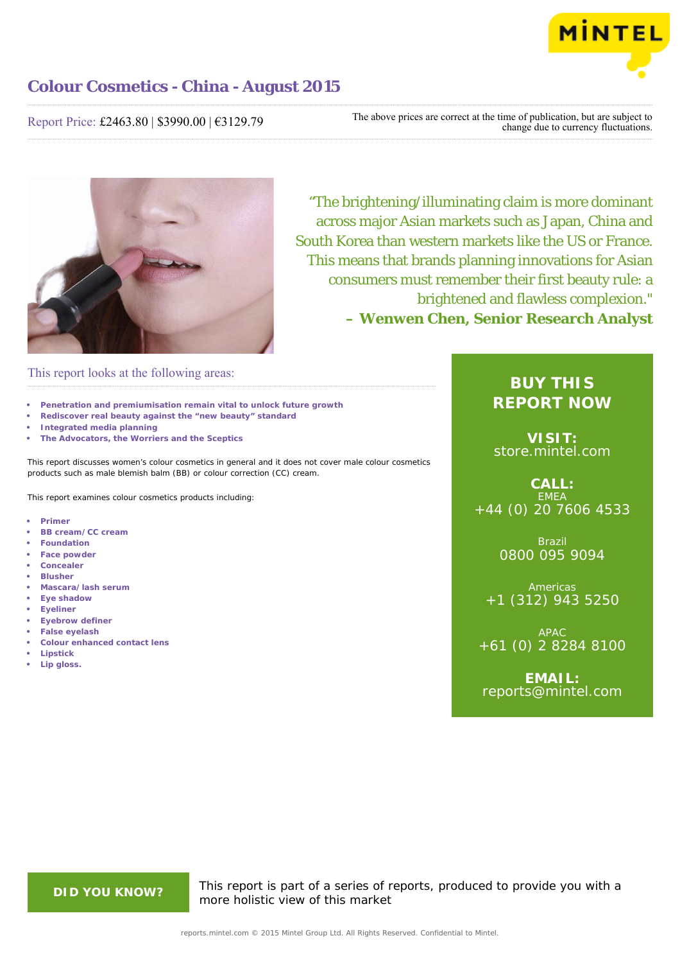

## Report Price: £2463.80 | \$3990.00 | €3129.79

The above prices are correct at the time of publication, but are subject to change due to currency fluctuations.



"The brightening/illuminating claim is more dominant across major Asian markets such as Japan, China and South Korea than western markets like the US or France. This means that brands planning innovations for Asian consumers must remember their first beauty rule: a brightened and flawless complexion." **– Wenwen Chen, Senior Research Analyst**

## This report looks at the following areas:

- **• Penetration and premiumisation remain vital to unlock future growth**
- **• Rediscover real beauty against the "new beauty" standard**
- **• Integrated media planning**
- **• The Advocators, the Worriers and the Sceptics**

This report discusses women's colour cosmetics in general and it does not cover male colour cosmetics products such as male blemish balm (BB) or colour correction (CC) cream.

This report examines colour cosmetics products including:

- **• Primer**
- **• BB cream/CC cream**
- **• Foundation**
- **• Face powder**
- **• Concealer**
- **• Blusher**
- **• Mascara/lash serum • Eye shadow**
- 
- **• Eyeliner**
- **• Eyebrow definer**
- **• False eyelash**
- **• Colour enhanced contact lens**
- **• Lipstick • Lip gloss.**

# **BUY THIS REPORT NOW**

**VISIT:** [store.mintel.com](http://reports.mintel.com//display/store/717842/)

**CALL: EMEA** +44 (0) 20 7606 4533

> Brazil 0800 095 9094

**Americas** +1 (312) 943 5250

APAC +61 (0) 2 8284 8100

**EMAIL:** [reports@mintel.com](mailto:reports@mintel.com)

**DID YOU KNOW?** This report is part of a series of reports, produced to provide you with a more holistic view of this market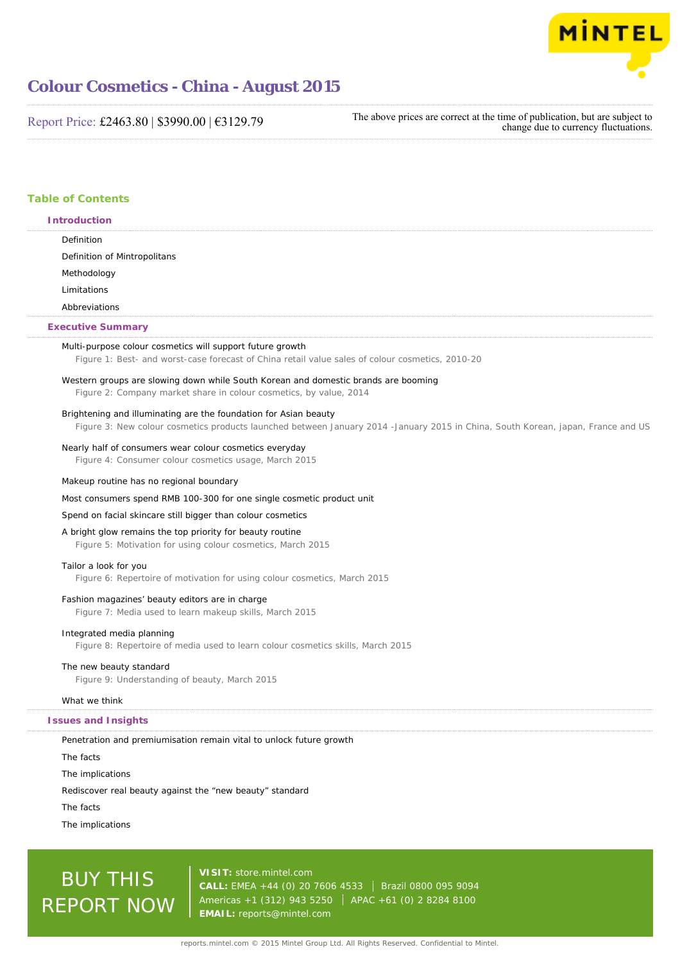

Report Price: £2463.80 | \$3990.00 | €3129.79

The above prices are correct at the time of publication, but are subject to change due to currency fluctuations.

## **Table of Contents Introduction**

## Definition Definition of Mintropolitans Methodology Limitations Abbreviations Multi-purpose colour cosmetics will support future growth Figure 1: Best- and worst-case forecast of China retail value sales of colour cosmetics, 2010-20 Western groups are slowing down while South Korean and domestic brands are booming Figure 2: Company market share in colour cosmetics, by value, 2014 Brightening and illuminating are the foundation for Asian beauty Figure 3: New colour cosmetics products launched between January 2014 -January 2015 in China, South Korean, japan, France and US Nearly half of consumers wear colour cosmetics everyday Figure 4: Consumer colour cosmetics usage, March 2015 Makeup routine has no regional boundary Most consumers spend RMB 100-300 for one single cosmetic product unit Spend on facial skincare still bigger than colour cosmetics A bright glow remains the top priority for beauty routine Figure 5: Motivation for using colour cosmetics, March 2015 Tailor a look for you Figure 6: Repertoire of motivation for using colour cosmetics, March 2015 Fashion magazines' beauty editors are in charge Figure 7: Media used to learn makeup skills, March 2015 Integrated media planning Figure 8: Repertoire of media used to learn colour cosmetics skills, March 2015 The new beauty standard Figure 9: Understanding of beauty, March 2015 What we think Penetration and premiumisation remain vital to unlock future growth The facts The implications **Executive Summary Issues and Insights**

Rediscover real beauty against the "new beauty" standard

The facts

The implications

# BUY THIS REPORT NOW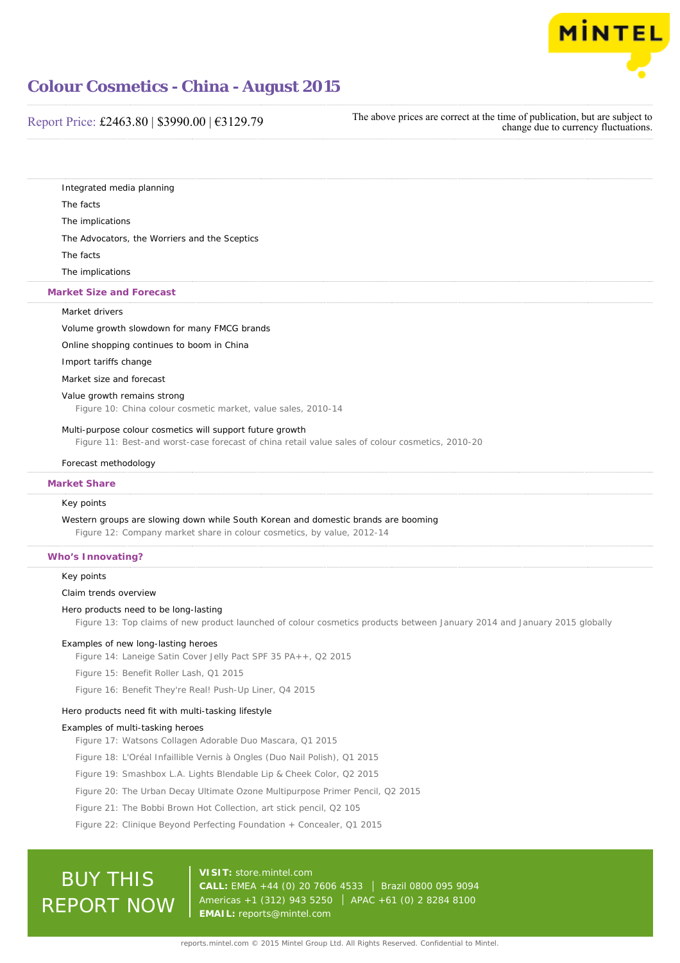

### Report Price: £2463.80 | \$3990.00 | €3129.79

The above prices are correct at the time of publication, but are subject to change due to currency fluctuations.

Integrated media planning

The facts

The implications

The Advocators, the Worriers and the Sceptics

The facts

The implications

### **Market Size and Forecast**

### Market drivers

Volume growth slowdown for many FMCG brands

Online shopping continues to boom in China

Import tariffs change

Market size and forecast

### Value growth remains strong

Figure 10: China colour cosmetic market, value sales, 2010-14

### Multi-purpose colour cosmetics will support future growth

Figure 11: Best-and worst-case forecast of china retail value sales of colour cosmetics, 2010-20

#### Forecast methodology

### **Market Share**

### Key points

Western groups are slowing down while South Korean and domestic brands are booming

Figure 12: Company market share in colour cosmetics, by value, 2012-14

### **Who's Innovating?**

### Key points

Claim trends overview

### Hero products need to be long-lasting

Figure 13: Top claims of new product launched of colour cosmetics products between January 2014 and January 2015 globally

### Examples of new long-lasting heroes

Figure 14: Laneige Satin Cover Jelly Pact SPF 35 PA++, Q2 2015

Figure 15: Benefit Roller Lash, Q1 2015

Figure 16: Benefit They're Real! Push-Up Liner, Q4 2015

### Hero products need fit with multi-tasking lifestyle

#### Examples of multi-tasking heroes

Figure 17: Watsons Collagen Adorable Duo Mascara, Q1 2015

- Figure 18: L'Oréal Infaillible Vernis à Ongles (Duo Nail Polish), Q1 2015
- Figure 19: Smashbox L.A. Lights Blendable Lip & Cheek Color, Q2 2015

Figure 20: The Urban Decay Ultimate Ozone Multipurpose Primer Pencil, Q2 2015

- Figure 21: The Bobbi Brown Hot Collection, art stick pencil, Q2 105
- Figure 22: Clinique Beyond Perfecting Foundation + Concealer, Q1 2015

# BUY THIS REPORT NOW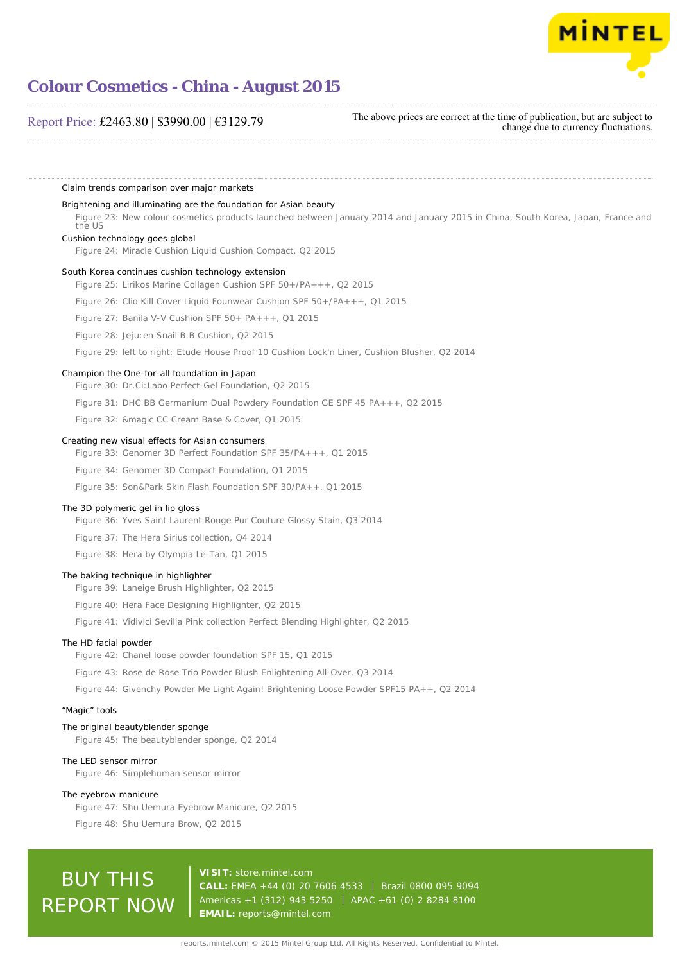

## Report Price: £2463.80 | \$3990.00 | €3129.79

The above prices are correct at the time of publication, but are subject to change due to currency fluctuations.

Claim trends comparison over major markets Brightening and illuminating are the foundation for Asian beauty Figure 23: New colour cosmetics products launched between January 2014 and January 2015 in China, South Korea, Japan, France and the US Cushion technology goes global Figure 24: Miracle Cushion Liquid Cushion Compact, Q2 2015 South Korea continues cushion technology extension Figure 25: Lirikos Marine Collagen Cushion SPF 50+/PA+++, Q2 2015 Figure 26: Clio Kill Cover Liquid Founwear Cushion SPF 50+/PA+++, Q1 2015 Figure 27: Banila V-V Cushion SPF 50+ PA+++, Q1 2015 Figure 28: Jeju:en Snail B.B Cushion, Q2 2015 Figure 29: left to right: Etude House Proof 10 Cushion Lock'n Liner, Cushion Blusher, Q2 2014 Champion the One-for-all foundation in Japan Figure 30: Dr.Ci:Labo Perfect-Gel Foundation, Q2 2015 Figure 31: DHC BB Germanium Dual Powdery Foundation GE SPF 45 PA+++, Q2 2015 Figure 32: &magic CC Cream Base & Cover, Q1 2015 Creating new visual effects for Asian consumers Figure 33: Genomer 3D Perfect Foundation SPF 35/PA+++, Q1 2015 Figure 34: Genomer 3D Compact Foundation, Q1 2015 Figure 35: Son&Park Skin Flash Foundation SPF 30/PA++, Q1 2015 The 3D polymeric gel in lip gloss Figure 36: Yves Saint Laurent Rouge Pur Couture Glossy Stain, Q3 2014 Figure 37: The Hera Sirius collection, Q4 2014 Figure 38: Hera by Olympia Le-Tan, Q1 2015 The baking technique in highlighter Figure 39: Laneige Brush Highlighter, Q2 2015 Figure 40: Hera Face Designing Highlighter, Q2 2015 Figure 41: Vidivici Sevilla Pink collection Perfect Blending Highlighter, Q2 2015 The HD facial powder Figure 42: Chanel loose powder foundation SPF 15, Q1 2015 Figure 43: Rose de Rose Trio Powder Blush Enlightening All-Over, Q3 2014 Figure 44: Givenchy Powder Me Light Again! Brightening Loose Powder SPF15 PA++, Q2 2014 "Magic" tools The original beautyblender sponge Figure 45: The beautyblender sponge, Q2 2014 The LED sensor mirror Figure 46: Simplehuman sensor mirror The eyebrow manicure Figure 47: Shu Uemura Eyebrow Manicure, Q2 2015 Figure 48: Shu Uemura Brow, Q2 2015 **VISIT:** [store.mintel.com](http://reports.mintel.com//display/store/717842/)

# BUY THIS REPORT NOW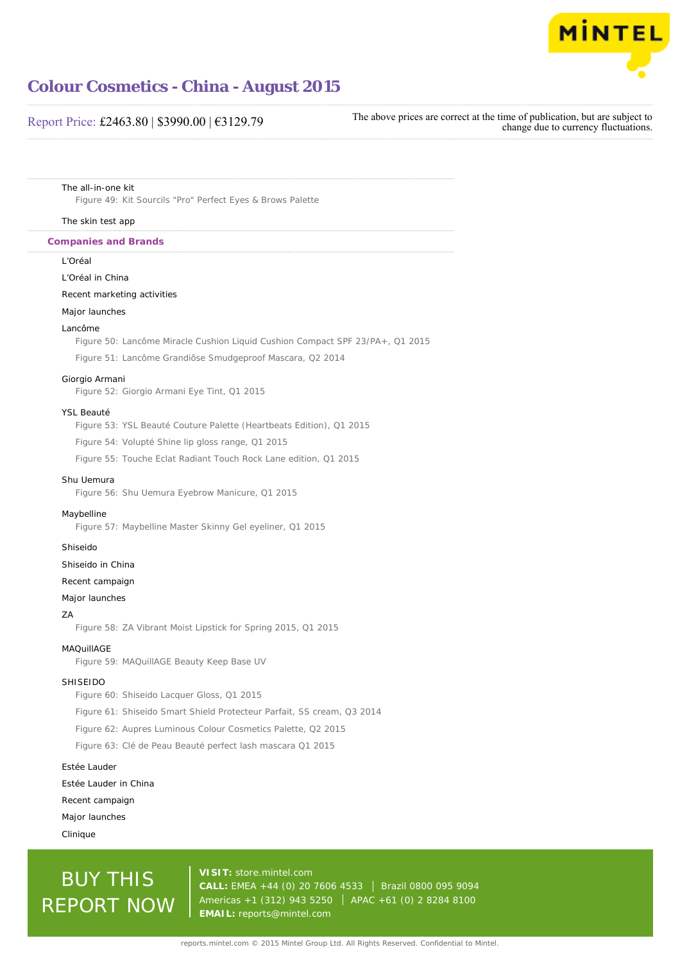

## Report Price: £2463.80 | \$3990.00 | €3129.79

The above prices are correct at the time of publication, but are subject to change due to currency fluctuations.

The all-in-one kit

Figure 49: Kit Sourcils "Pro" Perfect Eyes & Brows Palette

### The skin test app

### **Companies and Brands**

### L'Oréal

### L'Oréal in China

### Recent marketing activities

### Major launches

#### Lancôme

Figure 50: Lancôme Miracle Cushion Liquid Cushion Compact SPF 23/PA+, Q1 2015

Figure 51: Lancôme Grandiôse Smudgeproof Mascara, Q2 2014

### Giorgio Armani

Figure 52: Giorgio Armani Eye Tint, Q1 2015

### YSL Beauté

Figure 53: YSL Beauté Couture Palette (Heartbeats Edition), Q1 2015

Figure 54: Volupté Shine lip gloss range, Q1 2015

Figure 55: Touche Éclat Radiant Touch Rock Lane edition, Q1 2015

### Shu Uemura

Figure 56: Shu Uemura Eyebrow Manicure, Q1 2015

### Maybelline

Figure 57: Maybelline Master Skinny Gel eyeliner, Q1 2015

### Shiseido

### Shiseido in China

Recent campaign

### Major launches

#### ZA

Figure 58: ZA Vibrant Moist Lipstick for Spring 2015, Q1 2015

### MAQuillAGE

Figure 59: MAQuillAGE Beauty Keep Base UV

#### SHISEIDO

Figure 60: Shiseido Lacquer Gloss, Q1 2015

Figure 61: Shiseido Smart Shield Protecteur Parfait, SS cream, Q3 2014

Figure 62: Aupres Luminous Colour Cosmetics Palette, Q2 2015

Figure 63: Clé de Peau Beauté perfect lash mascara Q1 2015

### Estée Lauder

Estée Lauder in China

Recent campaign

Major launches

Clinique

# BUY THIS REPORT NOW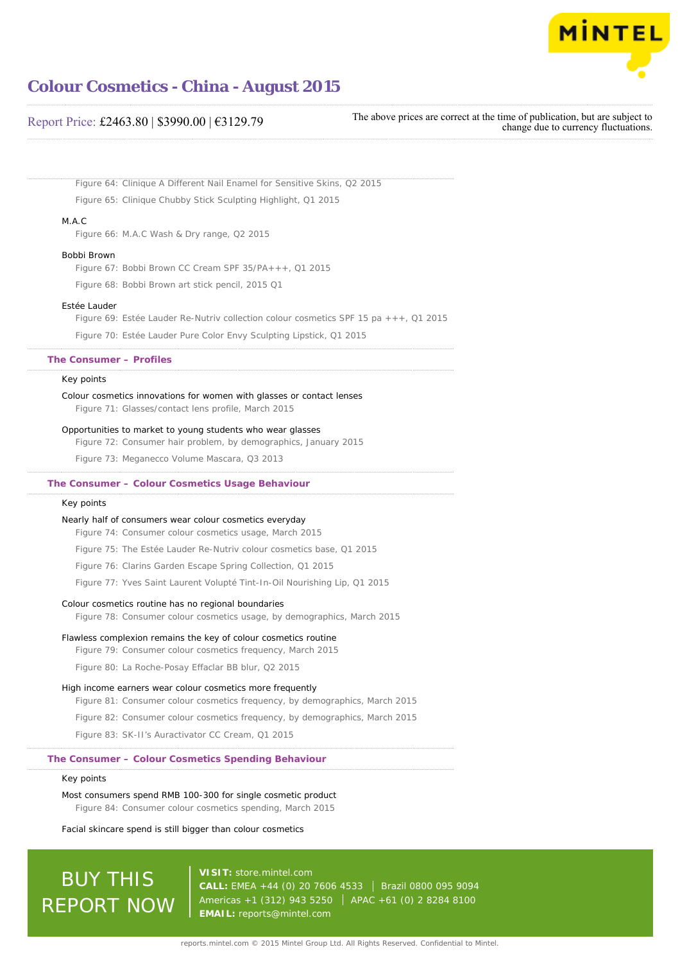

### Report Price: £2463.80 | \$3990.00 | €3129.79

The above prices are correct at the time of publication, but are subject to change due to currency fluctuations.

Figure 64: Clinique A Different Nail Enamel for Sensitive Skins, Q2 2015 Figure 65: Clinique Chubby Stick Sculpting Highlight, Q1 2015 M.A.C Figure 66: M.A.C Wash & Dry range, Q2 2015 Bobbi Brown Figure 67: Bobbi Brown CC Cream SPF 35/PA+++, Q1 2015 Figure 68: Bobbi Brown art stick pencil, 2015 Q1 Estée Lauder Figure 69: Estée Lauder Re-Nutriv collection colour cosmetics SPF 15 pa +++, Q1 2015 Figure 70: Estée Lauder Pure Color Envy Sculpting Lipstick, Q1 2015 Key points Colour cosmetics innovations for women with glasses or contact lenses Figure 71: Glasses/contact lens profile, March 2015 Opportunities to market to young students who wear glasses Figure 72: Consumer hair problem, by demographics, January 2015 Figure 73: Meganecco Volume Mascara, Q3 2013 Key points Nearly half of consumers wear colour cosmetics everyday Figure 74: Consumer colour cosmetics usage, March 2015 Figure 75: The Estée Lauder Re-Nutriv colour cosmetics base, Q1 2015 Figure 76: Clarins Garden Escape Spring Collection, Q1 2015 Figure 77: Yves Saint Laurent Volupté Tint-In-Oil Nourishing Lip, Q1 2015 Colour cosmetics routine has no regional boundaries Figure 78: Consumer colour cosmetics usage, by demographics, March 2015 Flawless complexion remains the key of colour cosmetics routine Figure 79: Consumer colour cosmetics frequency, March 2015 Figure 80: La Roche-Posay Effaclar BB blur, Q2 2015 High income earners wear colour cosmetics more frequently Figure 81: Consumer colour cosmetics frequency, by demographics, March 2015 Figure 82: Consumer colour cosmetics frequency, by demographics, March 2015 Figure 83: SK-II's Auractivator CC Cream, Q1 2015 Key points Most consumers spend RMB 100-300 for single cosmetic product Figure 84: Consumer colour cosmetics spending, March 2015 **The Consumer – Profiles The Consumer – Colour Cosmetics Usage Behaviour The Consumer – Colour Cosmetics Spending Behaviour**

Facial skincare spend is still bigger than colour cosmetics

# BUY THIS REPORT NOW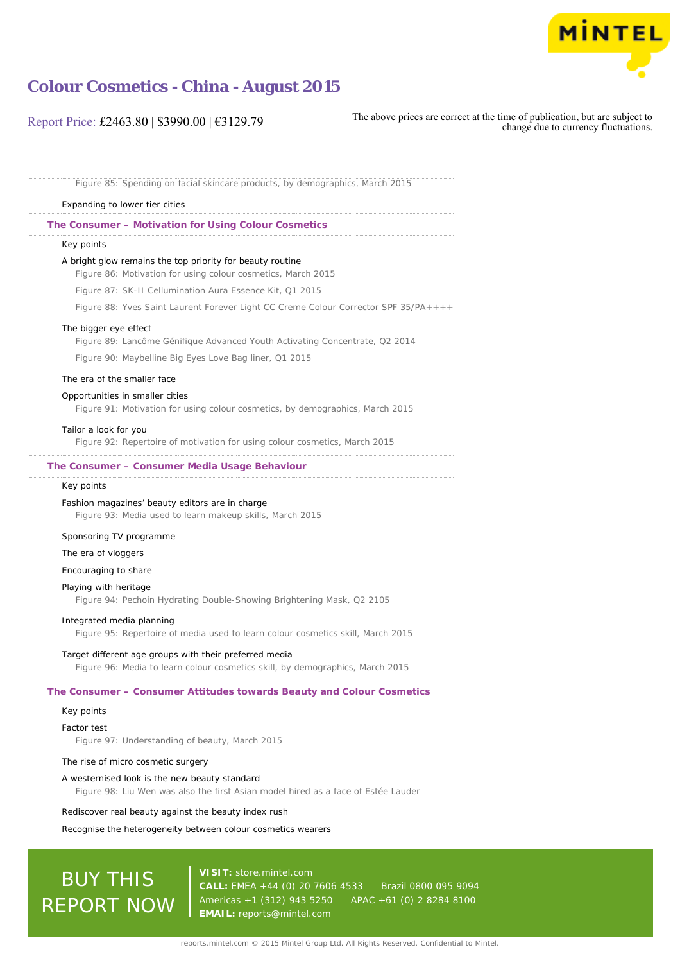

### Report Price: £2463.80 | \$3990.00 | €3129.79

The above prices are correct at the time of publication, but are subject to change due to currency fluctuations.

Figure 85: Spending on facial skincare products, by demographics, March 2015

### Expanding to lower tier cities

**The Consumer – Motivation for Using Colour Cosmetics**

### Key points

### A bright glow remains the top priority for beauty routine

Figure 86: Motivation for using colour cosmetics, March 2015

Figure 87: SK-II Cellumination Aura Essence Kit, Q1 2015

Figure 88: Yves Saint Laurent Forever Light CC Creme Colour Corrector SPF 35/PA++++

#### The bigger eye effect

Figure 89: Lancôme Génifique Advanced Youth Activating Concentrate, Q2 2014

Figure 90: Maybelline Big Eyes Love Bag liner, Q1 2015

#### The era of the smaller face

### Opportunities in smaller cities

Figure 91: Motivation for using colour cosmetics, by demographics, March 2015

### Tailor a look for you

Figure 92: Repertoire of motivation for using colour cosmetics, March 2015

### **The Consumer – Consumer Media Usage Behaviour**

### Key points

#### Fashion magazines' beauty editors are in charge

Figure 93: Media used to learn makeup skills, March 2015

### Sponsoring TV programme

### The era of vloggers

Encouraging to share

### Playing with heritage

Figure 94: Pechoin Hydrating Double-Showing Brightening Mask, Q2 2105

### Integrated media planning

Figure 95: Repertoire of media used to learn colour cosmetics skill, March 2015

### Target different age groups with their preferred media

Figure 96: Media to learn colour cosmetics skill, by demographics, March 2015

### **The Consumer – Consumer Attitudes towards Beauty and Colour Cosmetics**

### Key points

### Factor test

Figure 97: Understanding of beauty, March 2015

### The rise of micro cosmetic surgery

### A westernised look is the new beauty standard

Figure 98: Liu Wen was also the first Asian model hired as a face of Estée Lauder

### Rediscover real beauty against the beauty index rush

Recognise the heterogeneity between colour cosmetics wearers

# BUY THIS REPORT NOW